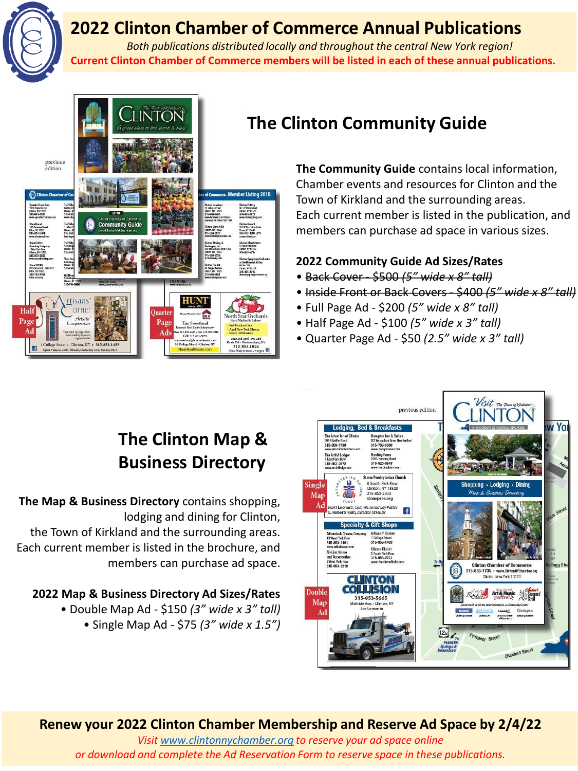

## **2022 Clinton Chamber of Commerce Annual Publications**

*Both publications distributed locally and throughout the central New York region!* **Current Clinton Chamber of Commerce members will be listed in each of these annual publications.**



## **The Clinton Community Guide**

**The Community Guide** contains local information, Chamber events and resources for Clinton and the Town of Kirkland and the surrounding areas. Each current member is listed in the publication, and members can purchase ad space in various sizes.

#### **2022 Community Guide Ad Sizes/Rates**

- Back Cover \$500 *(5" wide x 8" tall)*
- Inside Front or Back Covers \$400 *(5" wide x 8" tall)*
- Full Page Ad \$200 *(5" wide x 8" tall)*
- Half Page Ad \$100 *(5" wide x 3" tall)*
- Quarter Page Ad \$50 *(2.5" wide x 3" tall)*

# **The Clinton Map & Business Directory**

**The Map & Business Directory** contains shopping, lodging and dining for Clinton, the Town of Kirkland and the surrounding areas. Each current member is listed in the brochure, and members can purchase ad space.

#### **2022 Map & Business Directory Ad Sizes/Rates**

• Double Map Ad - \$150 *(3" wide x 3" tall)*  • Single Map Ad - \$75 *(3" wide x 1.5")* 



### **Renew your 2022 Clinton Chamber Membership and Reserve Ad Space by 2/4/22**

*Visit [www.clintonnychamber.org](http://www.clintonnychamber.org/) to reserve your ad space online or download and complete the Ad Reservation Form to reserve space in these publications.*